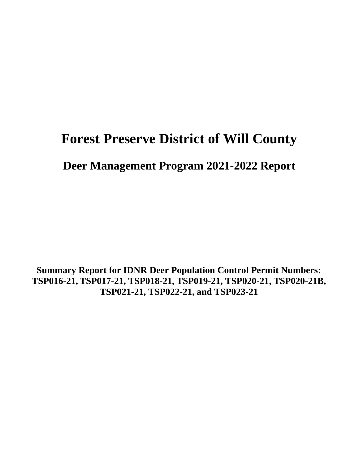## **Forest Preserve District of Will County**

**Deer Management Program 2021-2022 Report**

**Summary Report for IDNR Deer Population Control Permit Numbers: TSP016-21, TSP017-21, TSP018-21, TSP019-21, TSP020-21, TSP020-21B, TSP021-21, TSP022-21, and TSP023-21**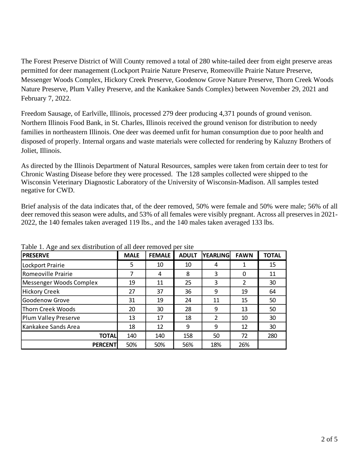The Forest Preserve District of Will County removed a total of 280 white-tailed deer from eight preserve areas permitted for deer management (Lockport Prairie Nature Preserve, Romeoville Prairie Nature Preserve, Messenger Woods Complex, Hickory Creek Preserve, Goodenow Grove Nature Preserve, Thorn Creek Woods Nature Preserve, Plum Valley Preserve, and the Kankakee Sands Complex) between November 29, 2021 and February 7, 2022.

Freedom Sausage, of Earlville, Illinois, processed 279 deer producing 4,371 pounds of ground venison. Northern Illinois Food Bank, in St. Charles, Illinois received the ground venison for distribution to needy families in northeastern Illinois. One deer was deemed unfit for human consumption due to poor health and disposed of properly. Internal organs and waste materials were collected for rendering by Kaluzny Brothers of Joliet, Illinois.

As directed by the Illinois Department of Natural Resources, samples were taken from certain deer to test for Chronic Wasting Disease before they were processed. The 128 samples collected were shipped to the Wisconsin Veterinary Diagnostic Laboratory of the University of Wisconsin-Madison. All samples tested negative for CWD.

Brief analysis of the data indicates that, of the deer removed, 50% were female and 50% were male; 56% of all deer removed this season were adults, and 53% of all females were visibly pregnant. Across all preserves in 2021- 2022, the 140 females taken averaged 119 lbs., and the 140 males taken averaged 133 lbs.

| Table 1. Age and sex distribution of all deer removed per site |             |               |              |                 |             |              |  |  |  |  |  |  |
|----------------------------------------------------------------|-------------|---------------|--------------|-----------------|-------------|--------------|--|--|--|--|--|--|
| <b>PRESERVE</b>                                                | <b>MALE</b> | <b>FEMALE</b> | <b>ADULT</b> | <b>YEARLING</b> | <b>FAWN</b> | <b>TOTAL</b> |  |  |  |  |  |  |
| Lockport Prairie                                               | 5           | 10            | 10           | 4               |             | 15           |  |  |  |  |  |  |
| Romeoville Prairie                                             |             | 4             | 8            | 3               | 0           | 11           |  |  |  |  |  |  |
| Messenger Woods Complex                                        | 19          | 11            | 25           | 3               | 2           | 30           |  |  |  |  |  |  |
| <b>Hickory Creek</b>                                           | 27          | 37            | 36           | 9               | 19          | 64           |  |  |  |  |  |  |
| Goodenow Grove                                                 | 31          | 19            | 24           | 11              | 15          | 50           |  |  |  |  |  |  |
| Thorn Creek Woods                                              | 20          | 30            | 28           | 9               | 13          | 50           |  |  |  |  |  |  |
| Plum Valley Preserve                                           | 13          | 17            | 18           | $\overline{2}$  | 10          | 30           |  |  |  |  |  |  |
| Kankakee Sands Area                                            | 18          | 12            | 9            | 9               | 12          | 30           |  |  |  |  |  |  |
| <b>TOTAL</b>                                                   | 140         | 140           | 158          | 50              | 72          | 280          |  |  |  |  |  |  |
| <b>PERCENT</b>                                                 | 50%         | 50%           | 56%          | 18%             | 26%         |              |  |  |  |  |  |  |

Table 1. Age and sex distribution of all deer removed per site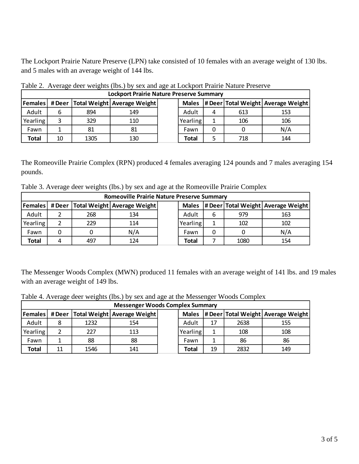The Lockport Prairie Nature Preserve (LPN) take consisted of 10 females with an average weight of 130 lbs. and 5 males with an average weight of 144 lbs.

| <b>Lockport Prairie Nature Preserve Summary</b> |    |      |                                        |  |              |   |     |                                        |  |  |  |
|-------------------------------------------------|----|------|----------------------------------------|--|--------------|---|-----|----------------------------------------|--|--|--|
| <b>Females</b>                                  |    |      | # Deer   Total Weight   Average Weight |  | <b>Males</b> |   |     | # Deer   Total Weight   Average Weight |  |  |  |
| Adult                                           |    | 894  | 149                                    |  | Adult        | 4 | 613 | 153                                    |  |  |  |
| Yearling                                        |    | 329  | 110                                    |  | Yearling     |   | 106 | 106                                    |  |  |  |
| Fawn                                            |    | 81   | 81                                     |  | Fawn         |   |     | N/A                                    |  |  |  |
| <b>Total</b>                                    | 10 | 1305 | 130                                    |  | Total        |   | 718 | 144                                    |  |  |  |

Table 2. Average deer weights (lbs.) by sex and age at Lockport Prairie Nature Preserve

The Romeoville Prairie Complex (RPN) produced 4 females averaging 124 pounds and 7 males averaging 154 pounds.

Table 3. Average deer weights (lbs.) by sex and age at the Romeoville Prairie Complex

|                | <b>Romeoville Prairie Nature Preserve Summary</b> |     |                                        |  |              |   |      |                                        |  |  |  |  |
|----------------|---------------------------------------------------|-----|----------------------------------------|--|--------------|---|------|----------------------------------------|--|--|--|--|
| <b>Females</b> |                                                   |     | # Deer   Total Weight   Average Weight |  | <b>Males</b> |   |      | # Deer   Total Weight   Average Weight |  |  |  |  |
| Adult          |                                                   | 268 | 134                                    |  | Adult        | 6 | 979  | 163                                    |  |  |  |  |
| Yearling       |                                                   | 229 | 114                                    |  | Yearling     |   | 102  | 102                                    |  |  |  |  |
| Fawn           |                                                   |     | N/A                                    |  | Fawn         |   |      | N/A                                    |  |  |  |  |
| Total          |                                                   | 497 | 124                                    |  | Total        |   | 1080 | 154                                    |  |  |  |  |

The Messenger Woods Complex (MWN) produced 11 females with an average weight of 141 lbs. and 19 males with an average weight of 149 lbs.

Table 4. Average deer weights (lbs.) by sex and age at the Messenger Woods Complex

|                | <b>Messenger Woods Complex Summary</b> |      |                                        |  |              |    |      |                                        |  |  |  |  |
|----------------|----------------------------------------|------|----------------------------------------|--|--------------|----|------|----------------------------------------|--|--|--|--|
| <b>Females</b> |                                        |      | # Deer   Total Weight   Average Weight |  | <b>Males</b> |    |      | # Deer   Total Weight   Average Weight |  |  |  |  |
| Adult          |                                        | 1232 | 154                                    |  | Adult        | 17 | 2638 | 155                                    |  |  |  |  |
| Yearling       |                                        | 227  | 113                                    |  | Yearling     |    | 108  | 108                                    |  |  |  |  |
| Fawn           |                                        | 88   | 88                                     |  | Fawn         |    | 86   | 86                                     |  |  |  |  |
| Total          | 11                                     | 1546 | 141                                    |  | Total        | 19 | 2832 | 149                                    |  |  |  |  |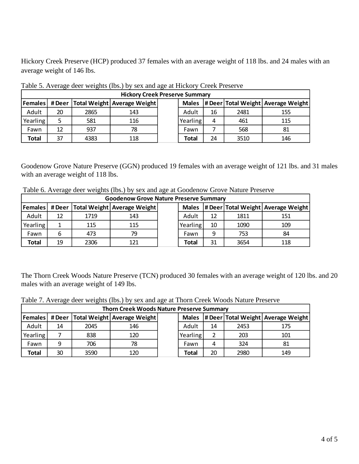Hickory Creek Preserve (HCP) produced 37 females with an average weight of 118 lbs. and 24 males with an average weight of 146 lbs.

|              | <b>Hickory Creek Preserve Summary</b> |      |                               |  |              |    |      |                                        |  |  |  |  |
|--------------|---------------------------------------|------|-------------------------------|--|--------------|----|------|----------------------------------------|--|--|--|--|
| Females      | # Deer                                |      | Total Weight   Average Weight |  | <b>Males</b> |    |      | # Deer   Total Weight   Average Weight |  |  |  |  |
| Adult        | 20                                    | 2865 | 143                           |  | Adult        | 16 | 2481 | 155                                    |  |  |  |  |
| Yearling     |                                       | 581  | 116                           |  | Yearling     | 4  | 461  | 115                                    |  |  |  |  |
| Fawn         | 12                                    | 937  | 78                            |  | Fawn         |    | 568  | 81                                     |  |  |  |  |
| <b>Total</b> | 37                                    | 4383 | 118                           |  | <b>Total</b> | 24 | 3510 | 146                                    |  |  |  |  |

Table 5. Average deer weights (lbs.) by sex and age at Hickory Creek Preserve

Goodenow Grove Nature Preserve (GGN) produced 19 females with an average weight of 121 lbs. and 31 males with an average weight of 118 lbs.

Table 6. Average deer weights (lbs.) by sex and age at Goodenow Grove Nature Preserve

|              | <b>Goodenow Grove Nature Preserve Summary</b> |      |                                                  |  |              |    |      |                                   |  |  |  |  |
|--------------|-----------------------------------------------|------|--------------------------------------------------|--|--------------|----|------|-----------------------------------|--|--|--|--|
|              |                                               |      | Females   # Deer   Total Weight   Average Weight |  | <b>Males</b> |    |      | #Deer Total Weight Average Weight |  |  |  |  |
| Adult        | 12                                            | 1719 | 143                                              |  | Adult        | 12 | 1811 | 151                               |  |  |  |  |
| Yearling     |                                               | 115  | 115                                              |  | Yearling     | 10 | 1090 | 109                               |  |  |  |  |
| Fawn         |                                               | 473  | 79                                               |  | Fawn         | q  | 753  | 84                                |  |  |  |  |
| <b>Total</b> | 19                                            | 2306 | 121                                              |  | Total        | 31 | 3654 | 118                               |  |  |  |  |

The Thorn Creek Woods Nature Preserve (TCN) produced 30 females with an average weight of 120 lbs. and 20 males with an average weight of 149 lbs.

|  |  | Table 7. Average deer weights (lbs.) by sex and age at Thorn Creek Woods Nature Preserve |  |  |
|--|--|------------------------------------------------------------------------------------------|--|--|
|  |  |                                                                                          |  |  |

|                | <b>Thorn Creek Woods Nature Preserve Summary</b> |      |                                        |  |              |    |      |                                        |  |  |  |  |
|----------------|--------------------------------------------------|------|----------------------------------------|--|--------------|----|------|----------------------------------------|--|--|--|--|
| <b>Females</b> |                                                  |      | # Deer   Total Weight   Average Weight |  | <b>Males</b> |    |      | # Deer   Total Weight   Average Weight |  |  |  |  |
| Adult          | 14                                               | 2045 | 146                                    |  | Adult        | 14 | 2453 | 175                                    |  |  |  |  |
| Yearling       |                                                  | 838  | 120                                    |  | Yearling     |    | 203  | 101                                    |  |  |  |  |
| Fawn           | q                                                | 706  | 78                                     |  | Fawn         | 4  | 324  | 81                                     |  |  |  |  |
| Total          | 30                                               | 3590 | 120                                    |  | Total        | 20 | 2980 | 149                                    |  |  |  |  |